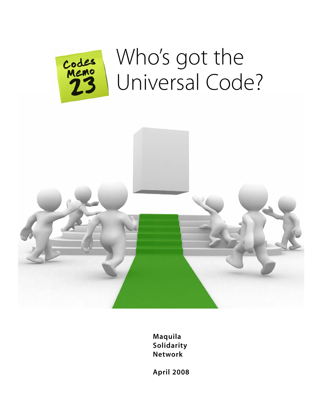

# Who's got the Universal Code?



**Maquila Solidarity Network**

**April 2008**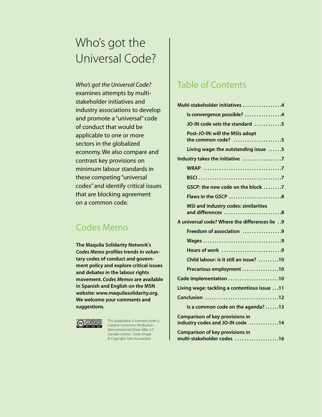# Who's got the Universal Code?

*Who's got the Universal Code?* examines attempts by multistakeholder initiatives and industry associations to develop and promote a "universal" code of conduct that would be applicable to one or more sectors in the globalized economy. We also compare and contrast key provisions on minimum labour standards in these competing "universal codes" and identify critical issues that are blocking agreement on a common code.

### Codes Memo

**The Maquila Solidarity Network's** *Codes Memo* **profiles trends in voluntary codes of conduct and government policy and explore critical issues and debates in the labour rights movement.** *Codes Memos* **are available in Spanish and English on the MSN website: www.maquilasolidarity.org. We welcome your comments and suggestions.**



This publication is licensed under a Creative Commons Attribution-Noncommercial-Share Alike 2.5 Canada License. Cover image © Copyright John Kounadeas

### Table of Contents

| Multi-stakeholder initiatives 4                                            |
|----------------------------------------------------------------------------|
| Is convergence possible? 4                                                 |
| JO-IN code sets the standard 5                                             |
| Post-JO-IN: will the MSIs adopt<br>the common code? 5                      |
| Living wage: the outstanding issue 5                                       |
| Industry takes the initiative 7                                            |
|                                                                            |
|                                                                            |
| GSCP: the new code on the block 7                                          |
|                                                                            |
| <b>MSI and industry codes: similarities</b><br>and differences 8           |
| A universal code? Where the differences lie  9                             |
| Freedom of association 9                                                   |
|                                                                            |
| Hours of work 9                                                            |
| Child labour: is it still an issue? 10                                     |
| Precarious employment 10                                                   |
| Code implementation 10                                                     |
| Living wage: tackling a contentious issue 11                               |
| Conclusion 12                                                              |
| Is a common code on the agenda? 13                                         |
| <b>Comparison of key provisions in</b><br>industry codes and JO-IN code 14 |
| <b>Comparison of key provisions in</b><br>multi-stakeholder codes 16       |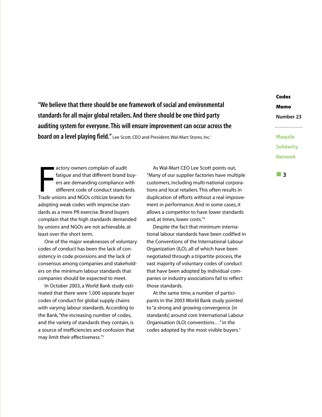**"We believe that there should be one framework of social and environmental standards for all major global retailers. And there should be one third party auditing system for everyone. This will ensure improvement can occur across the board on a level playing field."** Lee Scott, CEO and President, Wal-Mart Stores, Inc.1

**Maquila Solidarity Network**

**Codes**

**Memo**

**Number 23**

actory owners complain of audit<br>
fatigue and that different brand bu<br>
ers are demanding compliance wit<br>
different code of conduct standard<br>
Trade unions and NGOs criticize brands for actory owners complain of audit fatigue and that different brand buyers are demanding compliance with different code of conduct standards. adopting weak codes with imprecise standards as a mere PR exercise. Brand buyers complain that the high standards demanded by unions and NGOs are not achievable, at least over the short term.

One of the major weaknesses of voluntary codes of conduct has been the lack of consistency in code provisions and the lack of consensus among companies and stakeholders on the minimum labour standards that companies should be expected to meet.

In October 2003, a World Bank study estimated that there were 1,000 separate buyer codes of conduct for global supply chains with varying labour standards. According to the Bank,"the increasing number of codes, and the variety of standards they contain, is a source of inefficiencies and confusion that may limit their effectiveness."2

As Wal-Mart CEO Lee Scott points out, "Many of our supplier factories have multiple customers, including multi-national corporations and local retailers. This often results in duplication of efforts without a real improvement in performance. And in some cases, it allows a competitor to have lower standards and, at times, lower costs."3

Despite the fact that minimum international labour standards have been codified in the Conventions of the International Labour Organization (ILO), all of which have been negotiated through a tripartite process, the vast majority of voluntary codes of conduct that have been adopted by individual companies or industry associations fail to reflect those standards.

At the same time, a number of participants in the 2003 World Bank study pointed to "a strong and growing convergence [in standards] around core International Labour Organisation (ILO) conventions…" in the codes adopted by the most visible buyers.<sup>4</sup>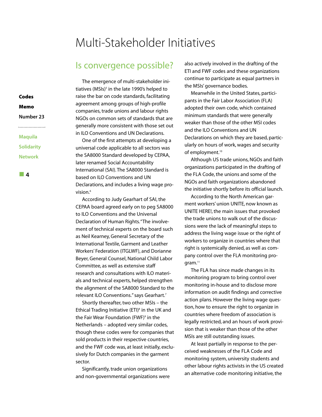# Multi-Stakeholder Initiatives

### Is convergence possible?

The emergence of multi-stakeholder initiatives (MSIs) $5$  in the late 1990's helped to raise the bar on code standards, facilitating agreement among groups of high-profile companies, trade unions and labour rights NGOs on common sets of standards that are generally more consistent with those set out in ILO Conventions and UN Declarations.

One of the first attempts at developing a universal code applicable to all sectors was the SA8000 Standard developed by CEPAA, later renamed Social Accountability International (SAI). The SA8000 Standard is based on ILO Conventions and UN Declarations, and includes a living wage provision.<sup>6</sup>

According to Judy Gearhart of SAI, the CEPAA board agreed early on to peg SA8000 to ILO Conventions and the Universal Declaration of Human Rights."The involvement of technical experts on the board such as Neil Kearney, General Secretary of the International Textile, Garment and Leather Workers' Federation (ITGLWF), and Dorianne Beyer, General Counsel, National Child Labor Committee, as well as extensive staff research and consultations with ILO materials and technical experts, helped strengthen the alignment of the SA8000 Standard to the relevant ILO Conventions." says Gearhart.<sup>7</sup>

Shortly thereafter, two other MSIs – the Ethical Trading Initiative (ETI)<sup>8</sup> in the UK and the Fair Wear Foundation (FWF)<sup>9</sup> in the Netherlands – adopted very similar codes, though these codes were for companies that sold products in their respective countries, and the FWF code was, at least initially, exclusively for Dutch companies in the garment sector.

Significantly, trade union organizations and non-governmental organizations were also actively involved in the drafting of the ETI and FWF codes and these organizations continue to participate as equal partners in the MSIs' governance bodies.

Meanwhile in the United States, participants in the Fair Labor Association (FLA) adopted their own code, which contained minimum standards that were generally weaker than those of the other MSI codes and the ILO Conventions and UN Declarations on which they are based, particularly on hours of work, wages and security of employment.<sup>10</sup>

Although US trade unions, NGOs and faith organizations participated in the drafting of the FLA Code, the unions and some of the NGOs and faith organizations abandoned the initiative shortly before its official launch.

According to the North American garment workers' union UNITE, now known as UNITE HERE!, the main issues that provoked the trade unions to walk out of the discussions were the lack of meaningful steps to address the living wage issue or the right of workers to organize in countries where that right is systemically denied, as well as company control over the FLA monitoring program.<sup>11</sup>

The FLA has since made changes in its monitoring program to bring control over monitoring in-house and to disclose more information on audit findings and corrective action plans. However the living wage question, how to ensure the right to organize in countries where freedom of association is legally restricted, and an hours of work provision that is weaker than those of the other MSIs are still outstanding issues.

At least partially in response to the perceived weaknesses of the FLA Code and monitoring system, university students and other labour rights activists in the US created an alternative code monitoring initiative, the

**Number 23 Maquila Solidarity**

**Codes Memo**

**4**

**Network**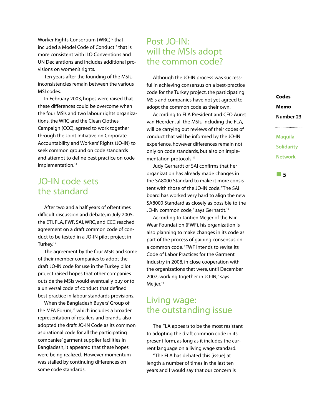Worker Rights Consortium (WRC)<sup>12</sup> that included a Model Code of Conduct<sup>13</sup> that is more consistent with ILO Conventions and UN Declarations and includes additional provisions on women's rights.

Ten years after the founding of the MSIs, inconsistencies remain between the various MSI codes.

In February 2003, hopes were raised that these differences could be overcome when the four MSIs and two labour rights organizations, the WRC and the Clean Clothes Campaign (CCC), agreed to work together through the Joint Initiative on Corporate Accountability and Workers' Rights (JO-IN) to seek common ground on code standards and attempt to define best practice on code implementation.<sup>14</sup>

### JO-IN code sets the standard

After two and a half years of oftentimes difficult discussion and debate, in July 2005, the ETI, FLA, FWF, SAI, WRC, and CCC reached agreement on a draft common code of conduct to be tested in a JO-IN pilot project in Turkey.<sup>15</sup>

The agreement by the four MSIs and some of their member companies to adopt the draft JO-IN code for use in the Turkey pilot project raised hopes that other companies outside the MSIs would eventually buy onto a universal code of conduct that defined best practice in labour standards provisions.

When the Bangladesh Buyers' Group of the MFA Forum,<sup>16</sup> which includes a broader representation of retailers and brands, also adopted the draft JO-IN Code as its common aspirational code for all the participating companies' garment supplier facilities in Bangladesh, it appeared that these hopes were being realized. However momentum was stalled by continuing differences on some code standards.

### Post JO-IN: will the MSIs adopt the common code?

Although the JO-IN process was successful in achieving consensus on a best-practice code for the Turkey project, the participating MSIs and companies have not yet agreed to adopt the common code as their own.

According to FLA President and CEO Auret van Heerden, all the MSIs, including the FLA, will be carrying out reviews of their codes of conduct that will be informed by the JO-IN experience, however differences remain not only on code standards, but also on implementation protocols.<sup>17</sup>

Judy Gerhardt of SAI confirms that her organization has already made changes in the SA8000 Standard to make it more consistent with those of the JO-IN code."The SAI board has worked very hard to align the new SA8000 Standard as closely as possible to the JO-IN common code," says Gerhardt.<sup>18</sup>

According to Jantien Meijer of the Fair Wear Foundation (FWF), his organization is also planning to make changes in its code as part of the process of gaining consensus on a common code."FWF intends to revise its Code of Labor Practices for the Garment Industry in 2008, in close cooperation with the organizations that were, until December 2007, working together in JO-IN," says Meijer.<sup>19</sup>

### Living wage: the outstanding issue

The FLA appears to be the most resistant to adopting the draft common code in its present form, as long as it includes the current language on a living wage standard.

"The FLA has debated this [issue] at length a number of times in the last ten years and I would say that our concern is

**Codes Memo Number 23** 

**Maquila Solidarity Network**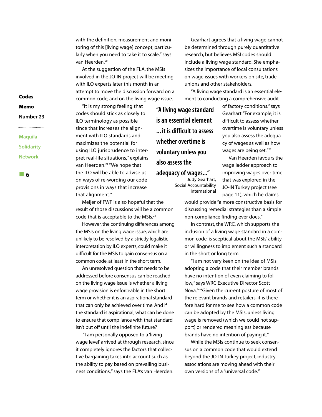with the definition, measurement and monitoring of this [living wage] concept, particularly when you need to take it to scale," says van Heerden.<sup>20</sup>

At the suggestion of the FLA, the MSIs involved in the JO-IN project will be meeting with ILO experts later this month in an attempt to move the discussion forward on a common code, and on the living wage issue.

"It is my strong feeling that codes should stick as closely to ILO terminology as possible since that increases the alignment with ILO standards and maximizes the potential for using ILO jurisprudence to interpret real-life situations," explains van Heerden.<sup>21</sup> "We hope that the ILO will be able to advise us on ways of re-wording our code provisions in ways that increase that alignment."

Meijer of FWF is also hopeful that the result of those discussions will be a common code that is acceptable to the MSIs.<sup>22</sup>

However, the continuing differences among the MSIs on the living wage issue, which are unlikely to be resolved by a strictly legalistic interpretation by ILO experts, could make it difficult for the MSIs to gain consensus on a common code, at least in the short term.

An unresolved question that needs to be addressed before consensus can be reached on the living wage issue is whether a living wage provision is enforceable in the short term or whether it is an aspirational standard that can only be achieved over time. And if the standard is aspirational, what can be done to ensure that compliance with that standard isn't put off until the indefinite future?

"I am personally opposed to a 'living wage level' arrived at through research, since it completely ignores the factors that collective bargaining takes into account such as the ability to pay based on prevailing business conditions," says the FLA's van Heerden.

Gearhart agrees that a living wage cannot be determined through purely quantitative research, but believes MSI codes should include a living wage standard. She emphasizes the importance of local consultations on wage issues with workers on site, trade unions and other stakeholders.

"A living wage standard is an essential element to conducting a comprehensive audit

**"A living wage standard is an essential element ... it is difficult to assess whether overtime is voluntary unless you also assess the adequacy of wages..."**

Judy Gearhart, Social Accountability International of factory conditions." says Gearhart."For example, it is difficult to assess whether overtime is voluntary unless you also assess the adequacy of wages as well as how wages are being set."<sup>23</sup>

Van Heerden favours the wage ladder approach to improving wages over time that was explored in the JO-IN Turkey project (see page 11), which he claims

would provide "a more constructive basis for discussing remedial strategies than a simple non-compliance finding ever does."

In contrast, the WRC, which supports the inclusion of a living wage standard in a common code, is sceptical about the MSIs' ability or willingness to implement such a standard in the short or long term.

"I am not very keen on the idea of MSIs adopting a code that their member brands have no intention of even claiming to follow," says WRC Executive Director Scott Nova.24 "Given the current posture of most of the relevant brands and retailers, it is therefore hard for me to see how a common code can be adopted by the MSIs, unless living wage is removed (which we could not support) or rendered meaningless because brands have no intention of paying it."

While the MSIs continue to seek consensus on a common code that would extend beyond the JO-IN Turkey project, industry associations are moving ahead with their own versions of a "universal code."

**Codes Memo**

**Number 23**

**Maquila Solidarity Network**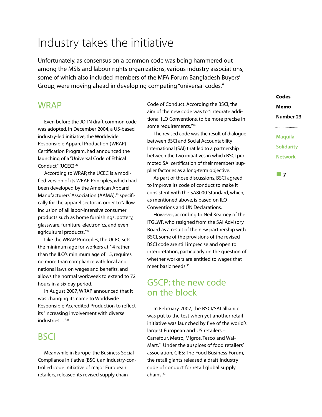# Industry takes the initiative

Unfortunately, as consensus on a common code was being hammered out among the MSIs and labour rights organizations, various industry associations, some of which also included members of the MFA Forum Bangladesh Buyers' Group, were moving ahead in developing competing "universal codes."

### WRAP

Even before the JO-IN draft common code was adopted, in December 2004, a US-based industry-led initiative, the Worldwide Responsible Apparel Production (WRAP) Certification Program, had announced the launching of a "Universal Code of Ethical Conduct" (UCEC).<sup>25</sup>

According to WRAP, the UCEC is a modified version of its WRAP Principles, which had been developed by the American Apparel Manufacturers' Association (AAMA),<sup>26</sup> specifically for the apparel sector, in order to "allow inclusion of all labor-intensive consumer products such as home furnishings, pottery, glassware, furniture, electronics, and even agricultural products."<sup>27</sup>

Like the WRAP Principles, the UCEC sets the minimum age for workers at 14 rather than the ILO's minimum age of 15, requires no more than compliance with local and national laws on wages and benefits, and allows the normal workweek to extend to 72 hours in a six day period.

In August 2007, WRAP announced that it was changing its name to Worldwide Responsible Accredited Production to reflect its "increasing involvement with diverse industries…"28

### **BSCI**

Meanwhile in Europe, the Business Social Compliance Initiative (BSCI), an industry-controlled code initiative of major European retailers, released its revised supply chain

Code of Conduct. According the BSCI, the aim of the new code was to "integrate additional ILO Conventions, to be more precise in some requirements."29

The revised code was the result of dialogue between BSCI and Social Accountability International (SAI) that led to a partnership between the two initiatives in which BSCI promoted SAI certification of their members' supplier factories as a long-term objective.

As part of those discussions, BSCI agreed to improve its code of conduct to make it consistent with the SA8000 Standard, which, as mentioned above, is based on ILO Conventions and UN Declarations.

However, according to Neil Kearney of the ITGLWF, who resigned from the SAI Advisory Board as a result of the new partnership with BSCI, some of the provisions of the revised BSCI code are still imprecise and open to interpretation, particularly on the question of whether workers are entitled to wages that meet basic needs.30

### GSCP: the new code on the block

In February 2007, the BSCI/SAI alliance was put to the test when yet another retail initiative was launched by five of the world's largest European and US retailers – Carrefour, Metro, Migros, Tesco and Wal-Mart.31 Under the auspices of food retailers' association, CIES: The Food Business Forum, the retail giants released a draft industry code of conduct for retail global supply chains.<sup>32</sup>

### **Codes**

**Memo**

**Number 23** 

### **Maquila Solidarity Network**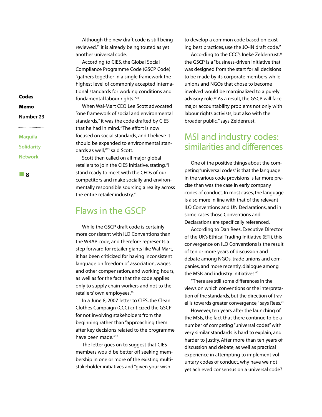Although the new draft code is still being reviewed,<sup>33</sup> it is already being touted as yet another universal code.

According to CIES, the Global Social Compliance Programme Code (GSCP Code) "gathers together in a single framework the highest level of commonly accepted international standards for working conditions and fundamental labour rights."34

When Wal-Mart CEO Lee Scott advocated "one framework of social and environmental standards," it was the code drafted by CIES that he had in mind."The effort is now focused on social standards, and I believe it should be expanded to environmental standards as well,"<sup>35</sup> said Scott.

Scott then called on all major global retailers to join the CIES initiative, stating,"I stand ready to meet with the CEOs of our competitors and make socially and environmentally responsible sourcing a reality across the entire retailer industry."

### Flaws in the GSCP

While the GSCP draft code is certainly more consistent with ILO Conventions than the WRAP code, and therefore represents a step forward for retailer giants like Wal-Mart, it has been criticized for having inconsistent language on freedom of association, wages and other compensation, and working hours, as well as for the fact that the code applies only to supply chain workers and not to the retailers' own employees.<sup>36</sup>

In a June 8, 2007 letter to CIES, the Clean Clothes Campaign (CCC) criticized the GSCP for not involving stakeholders from the beginning rather than "approaching them after key decisions related to the programme have been made."37

The letter goes on to suggest that CIES members would be better off seeking membership in one or more of the existing multistakeholder initiatives and "given your wish

to develop a common code based on existing best practices, use the JO-IN draft code."

According to the CCC's Ineke Zeldenrust,<sup>38</sup> the GSCP is a "business-driven initiative that was designed from the start for all decisions to be made by its corporate members while unions and NGOs that chose to become involved would be marginalized to a purely advisory role.<sup>39</sup> As a result, the GSCP will face major accountability problems not only with labour rights activists, but also with the broader public," says Zeldenrust.

### MSI and industry codes: similarities and differences

One of the positive things about the competing "universal codes" is that the language in the various code provisions is far more precise than was the case in early company codes of conduct. In most cases, the language is also more in line with that of the relevant ILO Conventions and UN Declarations, and in some cases those Conventions and Declarations are specifically referenced.

According to Dan Rees, Executive Director of the UK's Ethical Trading Initiative (ETI), this convergence on ILO Conventions is the result of ten or more years of discussion and debate among NGOs, trade unions and companies, and more recently, dialogue among the MSIs and industry initiatives.<sup>40</sup>

"There are still some differences in the views on which conventions or the interpretation of the standards, but the direction of travel is towards greater convergence," says Rees.<sup>41</sup>

However, ten years after the launching of the MSIs, the fact that there continue to be a number of competing "universal codes" with very similar standards is hard to explain, and harder to justify. After more than ten years of discussion and debate, as well as practical experience in attempting to implement voluntary codes of conduct, why have we not yet achieved consensus on a universal code?

**Codes**

### **Memo**

**Number 23** 

**Maquila Solidarity Network**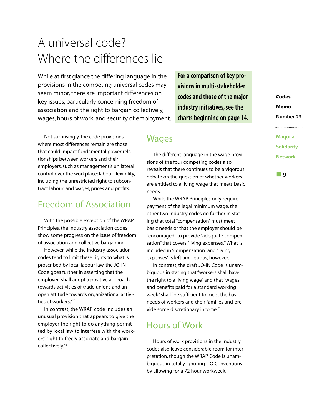# A universal code? Where the differences lie

While at first glance the differing language in the provisions in the competing universal codes may seem minor, there are important differences on key issues, particularly concerning freedom of association and the right to bargain collectively, wages, hours of work, and security of employment.

Not surprisingly, the code provisions where most differences remain are those that could impact fundamental power relationships between workers and their employers, such as management's unilateral control over the workplace; labour flexibility, including the unrestricted right to subcontract labour; and wages, prices and profits.

### Freedom of Association

With the possible exception of the WRAP Principles, the industry association codes show some progress on the issue of freedom of association and collective bargaining.

However, while the industry association codes tend to limit these rights to what is proscribed by local labour law, the JO-IN Code goes further in asserting that the employer "shall adopt a positive approach towards activities of trade unions and an open attitude towards organizational activities of workers."42

In contrast, the WRAP code includes an unusual provision that appears to give the employer the right to do anything permitted by local law to interfere with the workers' right to freely associate and bargain collectively.<sup>43</sup>

**For a comparison of key provisions in multi-stakeholder codes and those of the major industry initiatives, see the charts beginning on page 14.**

### **Wages**

The different language in the wage provisions of the four competing codes also reveals that there continues to be a vigorous debate on the question of whether workers are entitled to a living wage that meets basic needs.

While the WRAP Principles only require payment of the legal minimum wage, the other two industry codes go further in stating that total "compensation" must meet basic needs or that the employer should be "encouraged" to provide "adequate compensation" that covers "living expenses."What is included in "compensation" and "living expenses" is left ambiguous, however.

In contrast, the draft JO-IN Code is unambiguous in stating that "workers shall have the right to a living wage" and that "wages and benefits paid for a standard working week" shall "be sufficient to meet the basic needs of workers and their families and provide some discretionary income."

### Hours of Work

Hours of work provisions in the industry codes also leave considerable room for interpretation, though the WRAP Code is unambiguous in totally ignoring ILO Conventions by allowing for a 72 hour workweek.

**Codes Memo Number 23**

**Maquila Solidarity Network**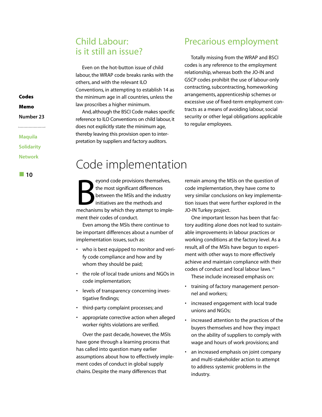### Child Labour: is it still an issue?

Even on the hot-button issue of child labour, the WRAP code breaks ranks with the others, and with the relevant ILO Conventions, in attempting to establish 14 as the minimum age in all countries, unless the law proscribes a higher minimum.

And, although the BSCI Code makes specific reference to ILO Conventions on child labour, it does not explicitly state the minimum age, thereby leaving this provision open to interpretation by suppliers and factory auditors.

### Precarious employment

Totally missing from the WRAP and BSCI codes is any reference to the employment relationship, whereas both the JO-IN and GSCP codes prohibit the use of labour-only contracting, subcontracting, homeworking arrangements, apprenticeship schemes or excessive use of fixed-term employment contracts as a means of avoiding labour, social security or other legal obligations applicable to regular employees.

## Code implementation

eyond code provisions themselves,<br>the most significant differences<br>between the MSIs and the industry<br>initiatives are the methods and<br>mechanisms by which they attempt to impleeyond code provisions themselves, the most significant differences between the MSIs and the industry initiatives are the methods and ment their codes of conduct.

Even among the MSIs there continue to be important differences about a number of implementation issues, such as:

- who is best equipped to monitor and verify code compliance and how and by whom they should be paid;
- the role of local trade unions and NGOs in code implementation;
- levels of transparency concerning investigative findings;
- third-party complaint processes; and
- appropriate corrective action when alleged worker rights violations are verified.

Over the past decade, however, the MSIs have gone through a learning process that has called into question many earlier assumptions about how to effectively implement codes of conduct in global supply chains. Despite the many differences that

remain among the MSIs on the question of code implementation, they have come to very similar conclusions on key implementation issues that were further explored in the JO-IN Turkey project.

One important lesson has been that factory auditing alone does not lead to sustainable improvements in labour practices or working conditions at the factory level. As a result, all of the MSIs have begun to experiment with other ways to more effectively achieve and maintain compliance with their codes of conduct and local labour laws. <sup>43</sup>

These include increased emphasis on:

- training of factory management personnel and workers;
- increased engagement with local trade unions and NGOs;
- increased attention to the practices of the buyers themselves and how they impact on the ability of suppliers to comply with wage and hours of work provisions; and
- an increased emphasis on joint company and multi-stakeholder action to attempt to address systemic problems in the industry.

**Codes Memo**

**Number 23** 

**Maquila Solidarity Network**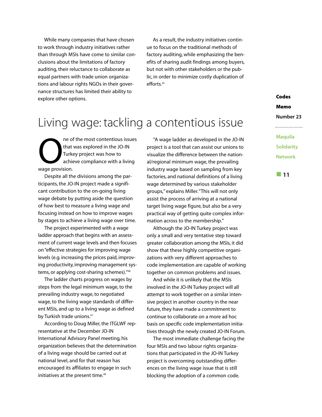While many companies that have chosen to work through industry initiatives rather than through MSIs have come to similar conclusions about the limitations of factory auditing, their reluctance to collaborate as equal partners with trade union organizations and labour rights NGOs in their governance structures has limited their ability to explore other options.

As a result, the industry initiatives continue to focus on the traditional methods of factory auditing, while emphasizing the benefits of sharing audit findings among buyers, but not with other stakeholders or the public, in order to minimize costly duplication of efforts.<sup>45</sup>

# Living wage: tackling a contentious issue

ne of the most contentious issues that was explored in the JO-IN Turkey project was how to achieve compliance with a living wage provision.

Despite all the divisions among the participants, the JO-IN project made a significant contribution to the on-going living wage debate by putting aside the question of how best to measure a living wage and focusing instead on how to improve wages by stages to achieve a living wage over time.

The project experimented with a wage ladder approach that begins with an assessment of current wage levels and then focuses on "effective strategies for improving wage levels (e.g. increasing the prices paid, improving productivity, improving management systems, or applying cost-sharing schemes)."46

The ladder charts progress on wages by steps from the legal minimum wage, to the prevailing industry wage, to negotiated wage, to the living wage standards of different MSIs, and up to a living wage as defined by Turkish trade unions.<sup>47</sup>

According to Doug Miller, the ITGLWF representative at the December JO-IN International Advisory Panel meeting, his organization believes that the determination of a living wage should be carried out at national level, and for that reason has encouraged its affiliates to engage in such initiatives at the present time.<sup>48</sup>

"A wage ladder as developed in the JO-IN project is a tool that can assist our unions to visualize the difference between the national/regional minimum wage, the prevailing industry wage based on sampling from key factories, and national definitions of a living wage determined by various stakeholder groups," explains Miller."This will not only assist the process of arriving at a national target living wage figure, but also be a very practical way of getting quite complex information across to the membership."

Although the JO-IN Turkey project was only a small and very tentative step toward greater collaboration among the MSIs, it did show that these highly competitive organizations with very different approaches to code implementation are capable of working together on common problems and issues.

And while it is unlikely that the MSIs involved in the JO-IN Turkey project will all attempt to work together on a similar intensive project in another country in the near future, they have made a commitment to continue to collaborate on a more ad hoc basis on specific code implementation initiatives through the newly created JO-IN Forum.

The most immediate challenge facing the four MSIs and two labour rights organizations that participated in the JO-IN Turkey project is overcoming outstanding differences on the living wage issue that is still blocking the adoption of a common code.

**Codes Memo Number 23**

**Maquila Solidarity Network**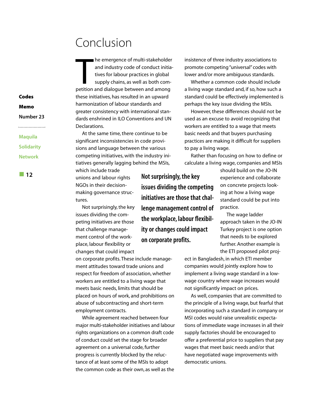# Conclusion

**Example 2** and industry code of conduct initiatives for labour practices in global supply chains, as well as both competition and dialogue between and among he emergence of multi-stakeholder and industry code of conduct initiatives for labour practices in global supply chains, as well as both comthese initiatives, has resulted in an upward harmonization of labour standards and greater consistency with international standards enshrined in ILO Conventions and UN Declarations.

At the same time, there continue to be significant inconsistencies in code provisions and language between the various competing initiatives, with the industry initiatives generally lagging behind the MSIs, which include trade

unions and labour rights NGOs in their decisionmaking governance structures. **12 12 Not surprisingly, the key Not surprisingly, the key** 

> Not surprisingly, the key issues dividing the competing initiatives are those that challenge management control of the workplace, labour flexibility or changes that could impact

on corporate profits. These include management attitudes toward trade unions and respect for freedom of association, whether workers are entitled to a living wage that meets basic needs, limits that should be placed on hours of work, and prohibitions on abuse of subcontracting and short-term employment contracts.

While agreement reached between four major multi-stakeholder initiatives and labour rights organizations on a common draft code of conduct could set the stage for broader agreement on a universal code, further progress is currently blocked by the reluctance of at least some of the MSIs to adopt the common code as their own, as well as the

insistence of three industry associations to promote competing "universal" codes with lower and/or more ambiguous standards.

Whether a common code should include a living wage standard and, if so, how such a standard could be effectively implemented is perhaps the key issue dividing the MSIs.

However, these differences should not be used as an excuse to avoid recognizing that workers are entitled to a wage that meets basic needs and that buyers purchasing practices are making it difficult for suppliers to pay a living wage.

Rather than focusing on how to define or calculate a living wage, companies and MSIs

**issues dividing the competing initiatives are those that challenge management control of the workplace, labour flexibility or changes could impact on corporate profits.**

should build on the JO-IN experience and collaborate on concrete projects looking at how a living wage standard could be put into practice.

The wage ladder approach taken in the JO-IN Turkey project is one option that needs to be explored further. Another example is the ETI proposed pilot proj-

ect in Bangladesh, in which ETI member companies would jointly explore how to implement a living wage standard in a lowwage country where wage increases would not significantly impact on prices.

As well, companies that are committed to the principle of a living wage, but fearful that incorporating such a standard in company or MSI codes would raise unrealistic expectations of immediate wage increases in all their supply factories should be encouraged to offer a preferential price to suppliers that pay wages that meet basic needs and/or that have negotiated wage improvements with democratic unions.

### **Codes**

**Memo**

**Number 23** 

### **Maquila Solidarity**

**Network**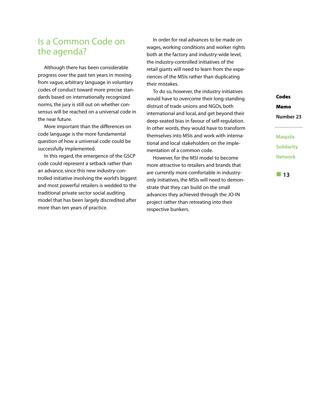### Is a Common Code on the agenda?

Although there has been considerable progress over the past ten years in moving from vague, arbitrary language in voluntary codes of conduct toward more precise standards based on internationally recognized norms, the jury is still out on whether consensus will be reached on a universal code in the near future.

More important than the differences on code language is the more fundamental question of how a universal code could be successfully implemented.

In this regard, the emergence of the GSCP code could represent a setback rather than an advance, since this new industry-controlled initiative involving the world's biggest and most powerful retailers is wedded to the traditional private sector social auditing model that has been largely discredited after more than ten years of practice.

In order for real advances to be made on wages, working conditions and worker rights both at the factory and industry-wide level, the industry-controlled initiatives of the retail giants will need to learn from the experiences of the MSIs rather than duplicating their mistakes.

To do so, however, the industry initiatives would have to overcome their long-standing distrust of trade unions and NGOs, both international and local, and get beyond their deep-seated bias in favour of self-regulation. In other words, they would have to transform themselves into MSIs and work with international and local stakeholders on the implementation of a common code.

However, for the MSI model to become more attractive to retailers and brands that are currently more comfortable in industryonly initiatives, the MSIs will need to demonstrate that they can build on the small advances they achieved through the JO-IN project rather than retreating into their respective bunkers.

**Codes Memo Number 23 Maquila**

**Solidarity Network**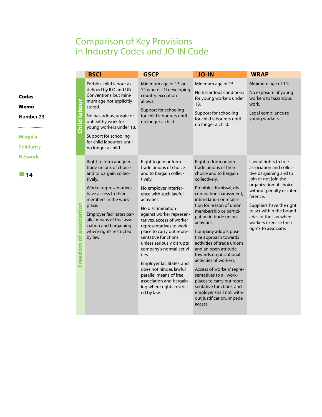### Comparison of Key Provisions in Industry Codes and JO-IN Code

|                               | <b>BSCI</b>                                                                                                                                                                                                                                                                                         | <b>GSCP</b>                                                                                                                                                                                                                                                                                                                                                                                                                                                                                                                                     | <b>JO-IN</b>                                                                                                                                                                                                                                                                                                                                                                                                                                                                                                                                                                                                                  | <b>WRAP</b>                                                                                                                                                                                                                                                                                              |
|-------------------------------|-----------------------------------------------------------------------------------------------------------------------------------------------------------------------------------------------------------------------------------------------------------------------------------------------------|-------------------------------------------------------------------------------------------------------------------------------------------------------------------------------------------------------------------------------------------------------------------------------------------------------------------------------------------------------------------------------------------------------------------------------------------------------------------------------------------------------------------------------------------------|-------------------------------------------------------------------------------------------------------------------------------------------------------------------------------------------------------------------------------------------------------------------------------------------------------------------------------------------------------------------------------------------------------------------------------------------------------------------------------------------------------------------------------------------------------------------------------------------------------------------------------|----------------------------------------------------------------------------------------------------------------------------------------------------------------------------------------------------------------------------------------------------------------------------------------------------------|
| <b>Inpode</b><br><b>Child</b> | Forbids child labour as<br>defined by ILO and UN<br>Conventions, but mini-<br>mum age not explicitly<br>stated.<br>No hazardous, unsafe or<br>unhealthy work for<br>young workers under 18.<br>Support for schooling<br>for child labourers until<br>no longer a child.                             | Minimum age of 15, or<br>14 where ILO developing<br>country exception<br>allows.<br>Support for schooling<br>for child labourers until<br>no longer a child.                                                                                                                                                                                                                                                                                                                                                                                    | Minimum age of 15.<br>No hazardous conditions<br>for young workers under<br>18.<br>Support for schooling<br>for child labourers until<br>no longer a child.                                                                                                                                                                                                                                                                                                                                                                                                                                                                   | Minimum age of 14.<br>No exposure of young<br>workers to hazardous<br>work.<br>Legal compliance re<br>young workers.                                                                                                                                                                                     |
| Freedom of association        | Right to form and join<br>trade unions of choice<br>and to bargain collec-<br>tively.<br>Worker representatives<br>have access to their<br>members in the work-<br>place.<br>Employer facilitates par-<br>allel means of free asso-<br>ciation and bargaining<br>where rights restricted<br>by law. | Right to join or form<br>trade unions of choice<br>and to bargain collec-<br>tively.<br>No employer interfer-<br>ence with such lawful<br>activities.<br>No discrimination<br>against worker represen-<br>tatives, access of worker<br>representatives to work-<br>place to carry out repre-<br>sentative functions<br>unless seriously disrupts<br>company's normal activi-<br>ties.<br>Employer facilitates, and<br>does not hinder, lawful<br>parallel means of free<br>association and bargain-<br>ing where rights restrict-<br>ed by law. | Right to form or join<br>trade unions of their<br>choice and to bargain<br>collectively.<br>Prohibits dismissal, dis-<br>crimination, harassment,<br>intimidation or retalia-<br>tion for reason of union<br>membership or partici-<br>pation in trade union<br>activities.<br>Company adopts posi-<br>tive approach towards<br>activities of trade unions<br>and an open attitude<br>towards organizational<br>activities of workers.<br>Access of workers' repre-<br>sentatives to all work-<br>places to carry out repre-<br>sentative functions, and<br>employer shall not, with-<br>out justification, impede<br>access. | Lawful rights to free<br>association and collec-<br>tive bargaining and to<br>join or not join the<br>organization of choice<br>without penalty or inter-<br>ference.<br>Suppliers have the right<br>to act within the bound-<br>aries of the law when<br>workers exercise their<br>rights to associate. |

**Codes Memo**

**Number 23**

.........................

**Maquila Solidarity Network**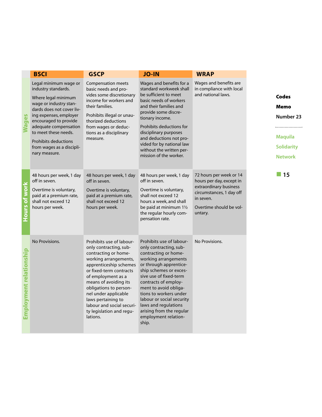|                         | <b>BSCI</b>                                                                                                                                                                                                                                                                                                 | <b>GSCP</b>                                                                                                                                                                                                                                                                                                                                          | <b>JO-IN</b>                                                                                                                                                                                                                                                                                                                                                                  | <b>WRAP</b>                                                                                                                                                  |                                                                                            |
|-------------------------|-------------------------------------------------------------------------------------------------------------------------------------------------------------------------------------------------------------------------------------------------------------------------------------------------------------|------------------------------------------------------------------------------------------------------------------------------------------------------------------------------------------------------------------------------------------------------------------------------------------------------------------------------------------------------|-------------------------------------------------------------------------------------------------------------------------------------------------------------------------------------------------------------------------------------------------------------------------------------------------------------------------------------------------------------------------------|--------------------------------------------------------------------------------------------------------------------------------------------------------------|--------------------------------------------------------------------------------------------|
| <b>Wages</b>            | Legal minimum wage or<br>industry standards.<br>Where legal minimum<br>wage or industry stan-<br>dards does not cover liv-<br>ing expenses, employer<br>encouraged to provide<br>adequate compensation<br>to meet these needs.<br><b>Prohibits deductions</b><br>from wages as a discipli-<br>nary measure. | <b>Compensation meets</b><br>basic needs and pro-<br>vides some discretionary<br>income for workers and<br>their families.<br>Prohibits illegal or unau-<br>thorized deductions<br>from wages or deduc-<br>tions as a disciplinary<br>measure.                                                                                                       | Wages and benefits for a<br>standard workweek shall<br>be sufficient to meet<br>basic needs of workers<br>and their families and<br>provide some discre-<br>tionary income.<br>Prohibits deductions for<br>disciplinary purposes<br>and deductions not pro-<br>vided for by national law<br>without the written per-<br>mission of the worker.                                | Wages and benefits are<br>in compliance with local<br>and national laws.                                                                                     | <b>Codes</b><br>Memo<br>Number 23<br><b>Maquila</b><br><b>Solidarity</b><br><b>Network</b> |
| Hours of work           | 48 hours per week, 1 day<br>off in seven.<br>Overtime is voluntary,<br>paid at a premium rate,<br>shall not exceed 12<br>hours per week.                                                                                                                                                                    | 48 hours per week, 1 day<br>off in seven.<br>Overtime is voluntary,<br>paid at a premium rate,<br>shall not exceed 12<br>hours per week.                                                                                                                                                                                                             | 48 hours per week, 1 day<br>off in seven.<br>Overtime is voluntary,<br>shall not exceed 12<br>hours a week, and shall<br>be paid at minimum $1\frac{1}{2}$<br>the regular hourly com-<br>pensation rate.                                                                                                                                                                      | 72 hours per week or 14<br>hours per day, except in<br>extraordinary business<br>circumstances, 1 day off<br>in seven.<br>Overtime should be vol-<br>untary. | 15                                                                                         |
| Employment relationship | No Provisions.                                                                                                                                                                                                                                                                                              | Prohibits use of labour-<br>only contracting, sub-<br>contracting or home-<br>working arrangements,<br>apprenticeship schemes<br>or fixed-term contracts<br>of employment as a<br>means of avoiding its<br>obligations to person-<br>nel under applicable<br>laws pertaining to<br>labour and social securi-<br>ty legislation and regu-<br>lations. | Prohibits use of labour-<br>only contracting, sub-<br>contracting or home-<br>working arrangements<br>or through apprentice-<br>ship schemes or exces-<br>sive use of fixed-term<br>contracts of employ-<br>ment to avoid obliga-<br>tions to workers under<br>labour or social security<br>laws and regulations<br>arising from the regular<br>employment relation-<br>ship. | No Provisions.                                                                                                                                               |                                                                                            |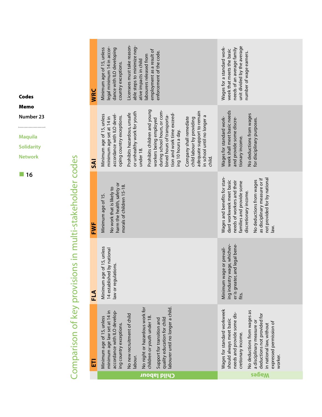| WRC        | Licensees must take reason-<br>able steps to minimize neg-<br>legal minimum 14 in accor-<br>Minimum age of 15, unless<br>dance with ILO developing<br>employment as a result of<br>enforcement of the code.<br>labourers released from<br>ative impacts in child<br>country exceptions.                                                                                                                                                                        | unit divided by the average<br>Wages for a standard work-<br>needs of an average family<br>week that meets the basic<br>number of wage earners.                                                                                                                           |
|------------|----------------------------------------------------------------------------------------------------------------------------------------------------------------------------------------------------------------------------------------------------------------------------------------------------------------------------------------------------------------------------------------------------------------------------------------------------------------|---------------------------------------------------------------------------------------------------------------------------------------------------------------------------------------------------------------------------------------------------------------------------|
| <b>Al</b>  | Prohibits children and young<br>during school hours, or com-<br>adequate support to remain<br>or unhealthy work for youth<br>Prohibits hazardous, unsafe<br>tion and work time exceed-<br>accordance with ILO devel-<br>Minimum age of 15, unless<br>oping country exceptions.<br>bined hours of transporta-<br>minimum age set at 14 in<br>Company shall remediate<br>child labour by providing<br>workers being employed<br>ing 10 hours a day.<br>under 18. | week shall meet basic needs<br>No deductions from wages<br>in school until no longer a<br>Wages for standard work-<br>and provide some discre-<br>for disciplinary purposes.<br>tionary income.<br>child.                                                                 |
| <b>FWF</b> | harm the health, safety or<br>morals of children 15-18.<br>No work that is likely to<br>Minimum age of 15.                                                                                                                                                                                                                                                                                                                                                     | Wages and benefits for stan-<br>as disciplinary measure or if<br>not provided for by national<br>dard workweek meet basic<br>No deductions from wages<br>needs of workers and their<br>families and provide some<br>discretionary income.<br>ivel                         |
| <b>FLA</b> | Minimum age of 15, unless<br>14 established by national<br>law or regulations.                                                                                                                                                                                                                                                                                                                                                                                 | ing industry wage, whichev-<br>er is greater, and legal bene-<br>Minimum wage or prevail-<br>fits.                                                                                                                                                                        |
| 园          | labourer until no longer a child.<br>No night or hazardous work for<br>accordance with ILO develop-<br>minimum age law set at 14 in<br>No new recruitment of child<br>Minimum age of 15, unless<br>children or youth under 18<br>quality education for child<br>Support for transition and<br>ing country exceptions.<br>labour.                                                                                                                               | Wages for standard workweek<br>No deductions from wages as<br>needs and provide some dis-<br>deductions not provided for<br>should always meet basic<br>a disciplinary measure or<br>expressed permission of<br>in national law, without<br>cretionary income.<br>worker. |
|            | ponL<br><b>P</b>                                                                                                                                                                                                                                                                                                                                                                                                                                               | <b>sa</b><br>бем                                                                                                                                                                                                                                                          |

**Codes**

**Memo**

**Number 23** .........................

**Maquila**

**Solidarity**

**Network**



# Comparison of key provisions in multi-stakeholder codes Comparison of key provisions in multi-stakeholder codes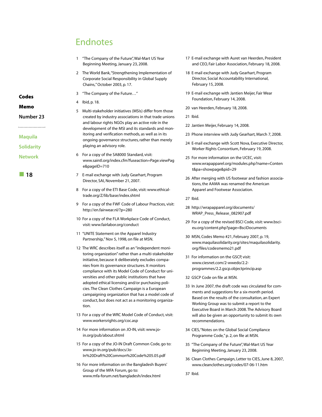### Endnotes

|                   | 1 | "The Company of the Future", Wal-Mart US Year<br>Beginning Meeting, January 23, 2008.                                                                           |
|-------------------|---|-----------------------------------------------------------------------------------------------------------------------------------------------------------------|
|                   | 2 | The World Bank, "Strengthening Implementation of<br>Corporate Social Responsibility in Global Supply<br>Chains," October 2003, p. 17.                           |
| Codes             | 3 | "The Company of the Future"                                                                                                                                     |
|                   | 4 | Ibid, p. 18.                                                                                                                                                    |
| Memo              | 5 | Multi-stakeholder initiatives (MSIs) differ from those                                                                                                          |
| Number 23         |   | created by industry associations in that trade unions<br>and labour rights NGOs play an active role in the<br>development of the MSI and its standards and mon- |
| <b>Maquila</b>    |   | itoring and verification methods, as well as in its<br>ongoing governance structures, rather than merely                                                        |
| <b>Solidarity</b> |   | playing an advisory role.                                                                                                                                       |
| <b>Network</b>    | 6 | For a copy of the SA8000 Standard, visit:<br>www.saintl.org/index.cfm?fuseaction=Page.viewPag<br>e&pageID=710                                                   |
| 18                | 7 | E-mail exchange with Judy Gearhart, Program<br>Director, SAI, November 21, 2007.                                                                                |
|                   | 8 | For a copy of the ETI Base Code, visit: www.ethical-<br>trade.org/Z/lib/base/index.shtml                                                                        |
|                   | 9 | For a copy of the FWF Code of Labour Practices, visit:<br>http://en.fairwear.nl/?p=280                                                                          |

- 10 For a copy of the FLA Workplace Code of Conduct, visit: www.fairlabor.org/conduct
- 11 "UNITE Statement on the Apparel Industry Partnership," Nov 5, 1998, on file at MSN.
- 12 The WRC describes itself as an "independent monitoring organization" rather than a multi-stakeholder initiative, because it deliberately excludes companies from its governance structures. It monitors compliance with its Model Code of Conduct for universities and other public institutions that have adopted ethical licensing and/or purchasing policies. The Clean Clothes Campaign is a European campaigning organization that has a model code of conduct, but does not act as a monitoring organization.
- 13 For a copy of the WRC Model Code of Conduct, visit: www.workersrights.org/coc.asp
- 14 For more information on JO-IN, visit: www.join.org/pub/about.shtml
- 15 For a copy of the JO-IN Draft Common Code, go to: www.jo-in.org/pub/docs/Jo-In%20Draft%20Common%20Code%205.05.pdf
- 16 For more information on the Bangladesh Buyers' Group of the MFA Forum, go to: www.mfa-forum.net/bangladesh/index.html
- 17 E-mail exchange with Auret van Heerden, President and CEO, Fair Labor Association, February 18, 2008.
- 18 E-mail exchange with Judy Gearhart, Program Director, Social Accountability International, February 15, 2008.
- 19 E-mail exchange with Jantien Meijer, Fair Wear Foundation, February 14, 2008.
- 20 van Heerden, February 18, 2008.
- 21 Ibid.

- 22 Jantien Meijer, February 14, 2008.
- 23 Phone interview with Judy Gearhart, March 7, 2008.
- 24 E-mail exchange with Scott Nova, Executive Director, Worker Rights Consortium, February 19, 2008.
- 25 For more information on the UCEC, visit: www.wrapapparel.org/modules.php?name=Conten t&pa=showpage&pid=29
- 26 After merging with US footwear and fashion associations, the AAMA was renamed the American Apparel and Footwear Association.
- 27 Ibid.
- 28 http://wrapapparel.org/documents/ WRAP\_Press\_Release\_082907.pdf
- 29 For a copy of the revised BSCI Code, visit: www.bscieu.org/content.php?page=BsciDocuments
- 30 MSN, Codes Memo #21, February 2007, p. 19, www.maquilasolidarity.org/sites/maquilasolidarity. org/files/codesmemo21.pdf
- 31 For information on the GSCP, visit: www.ciesnet.com/2-wwedo/2.2 programmes/2.2.gscp.objectprincip.asp
- 32 GSCP Code on file at MSN.
- 33 In June 2007, the draft code was circulated for comments and suggestions for a six-month period. Based on the results of the consultation, an Expert Working Group was to submit a report to the Executive Board in March 2008. The Advisory Board will also be given an opportunity to submit its own recommendations.
- 34 CIES,"Notes on the Global Social Compliance Programme Code," p. 2, on file at MSN.
- 35 "The Company of the Future", Wal-Mart US Year Beginning Meeting, January 23, 2008.
- 36 Clean Clothes Campaign, Letter to CIES, June 8, 2007, www.cleanclothes.org/codes/07-06-11.htm
- 37 Ibid.

### Co

### **Memo**

### **Number 23**

### **Ma**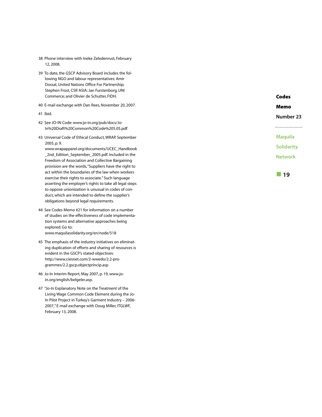- 38 Phone interview with Ineke Zeledenrust, February 12, 2008.
- 39 To date, the GSCP Advisory Board includes the following NGO and labour representatives: Amir Dossal, United Nations Office For Partnership; Stephen Frost, CSR ASIA; Jan Furstenborg, UNI Commerce; and Olivier de Schutter, FIDH.
- 40 E-mail exchange with Dan Rees, November 20, 2007.
- 41 Ibid.
- 42 See JO-IN Code: www.jo-in.org/pub/docs/Jo-In%20Draft%20Common%20Code%205.05.pdf
- 43 Universal Code of Ethical Conduct, WRAP, September 2005, p. 9.

www.wrapapparel.org/documents/UCEC\_Handbook 2nd Edition September 2005.pdf. Included in the Freedom of Association and Collective Bargaining provision are the words,"Suppliers have the right to act within the boundaries of the law when workers exercise their rights to associate." Such language asserting the employer's rights to take all legal steps to oppose unionization is unusual in codes of conduct, which are intended to define the supplier's obligations beyond legal requirements.

- 44 See Codes Memo #21 for information on a number of studies on the effectiveness of code implementation systems and alternative approaches being explored. Go to: www.maquilasolidarity.org/en/node/518
- 45 The emphasis of the industry initiatives on eliminating duplication of efforts and sharing of resources is evident in the GSCP's stated objectives: http://www.ciesnet.com/2-wwedo/2.2-programmes/2.2.gscp.objectprincip.asp
- 46 Jo-In Interim Report, May 2007, p. 19, www.join.org/english/belgeler.asp.
- 47 "Jo-In Explanatory Note on the Treatment of the Living Wage Common Code Element during the Jo-In Pilot Project in Turkey's Garment Industry – 2006- 2007," E-mail exchange with Doug Miller, ITGLWF, February 13, 2008.

**Number 23 Maquila**

**Codes Memo**

**Solidarity**

**Network**